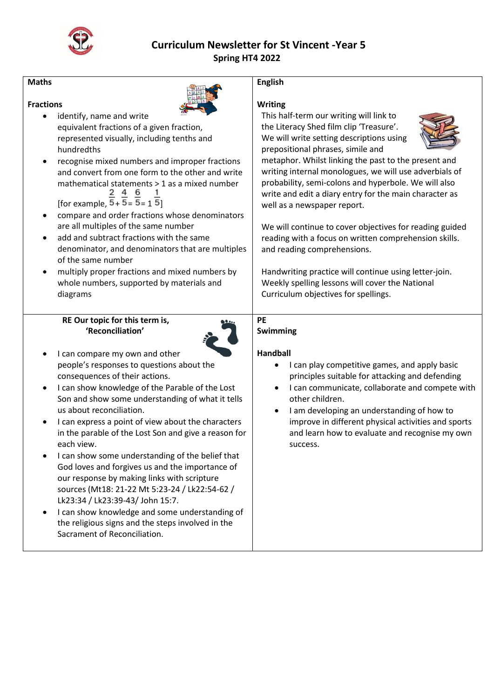

# **Curriculum Newsletter for St Vincent -Year 5 Spring HT4 2022**

| <b>Maths</b>                                                                                                                                                                                                                                                                                                                                                                                                                                                                                                                                                                                                                                                                                                                                                                                                          | <b>English</b>                                                                                                                                                                                                                                                                                                                                                                                                                                                                                                                                                                                                                                                                                                                                                  |
|-----------------------------------------------------------------------------------------------------------------------------------------------------------------------------------------------------------------------------------------------------------------------------------------------------------------------------------------------------------------------------------------------------------------------------------------------------------------------------------------------------------------------------------------------------------------------------------------------------------------------------------------------------------------------------------------------------------------------------------------------------------------------------------------------------------------------|-----------------------------------------------------------------------------------------------------------------------------------------------------------------------------------------------------------------------------------------------------------------------------------------------------------------------------------------------------------------------------------------------------------------------------------------------------------------------------------------------------------------------------------------------------------------------------------------------------------------------------------------------------------------------------------------------------------------------------------------------------------------|
| <b>Fractions</b><br>identify, name and write<br>$\bullet$<br>equivalent fractions of a given fraction,<br>represented visually, including tenths and<br>hundredths<br>recognise mixed numbers and improper fractions<br>and convert from one form to the other and write<br>mathematical statements > 1 as a mixed number<br>[for example, $\frac{2}{5}$ + $\frac{4}{5}$ = $\frac{6}{5}$ = 1 $\frac{1}{5}$ ]<br>compare and order fractions whose denominators<br>are all multiples of the same number<br>add and subtract fractions with the same<br>denominator, and denominators that are multiples<br>of the same number<br>multiply proper fractions and mixed numbers by<br>whole numbers, supported by materials and<br>diagrams                                                                               | <b>Writing</b><br>This half-term our writing will link to<br>the Literacy Shed film clip 'Treasure'.<br>We will write setting descriptions using<br>prepositional phrases, simile and<br>metaphor. Whilst linking the past to the present and<br>writing internal monologues, we will use adverbials of<br>probability, semi-colons and hyperbole. We will also<br>write and edit a diary entry for the main character as<br>well as a newspaper report.<br>We will continue to cover objectives for reading guided<br>reading with a focus on written comprehension skills.<br>and reading comprehensions.<br>Handwriting practice will continue using letter-join.<br>Weekly spelling lessons will cover the National<br>Curriculum objectives for spellings. |
| RE Our topic for this term is,<br>'Reconciliation'<br>I can compare my own and other<br>people's responses to questions about the<br>consequences of their actions.<br>I can show knowledge of the Parable of the Lost<br>Son and show some understanding of what it tells<br>us about reconciliation.<br>I can express a point of view about the characters<br>in the parable of the Lost Son and give a reason for<br>each view.<br>I can show some understanding of the belief that<br>God loves and forgives us and the importance of<br>our response by making links with scripture<br>sources (Mt18: 21-22 Mt 5:23-24 / Lk22:54-62 /<br>Lk23:34 / Lk23:39-43/ John 15:7.<br>I can show knowledge and some understanding of<br>the religious signs and the steps involved in the<br>Sacrament of Reconciliation. | <b>PE</b><br>Swimming<br><b>Handball</b><br>I can play competitive games, and apply basic<br>٠<br>principles suitable for attacking and defending<br>I can communicate, collaborate and compete with<br>other children.<br>I am developing an understanding of how to<br>improve in different physical activities and sports<br>and learn how to evaluate and recognise my own<br>success.                                                                                                                                                                                                                                                                                                                                                                      |